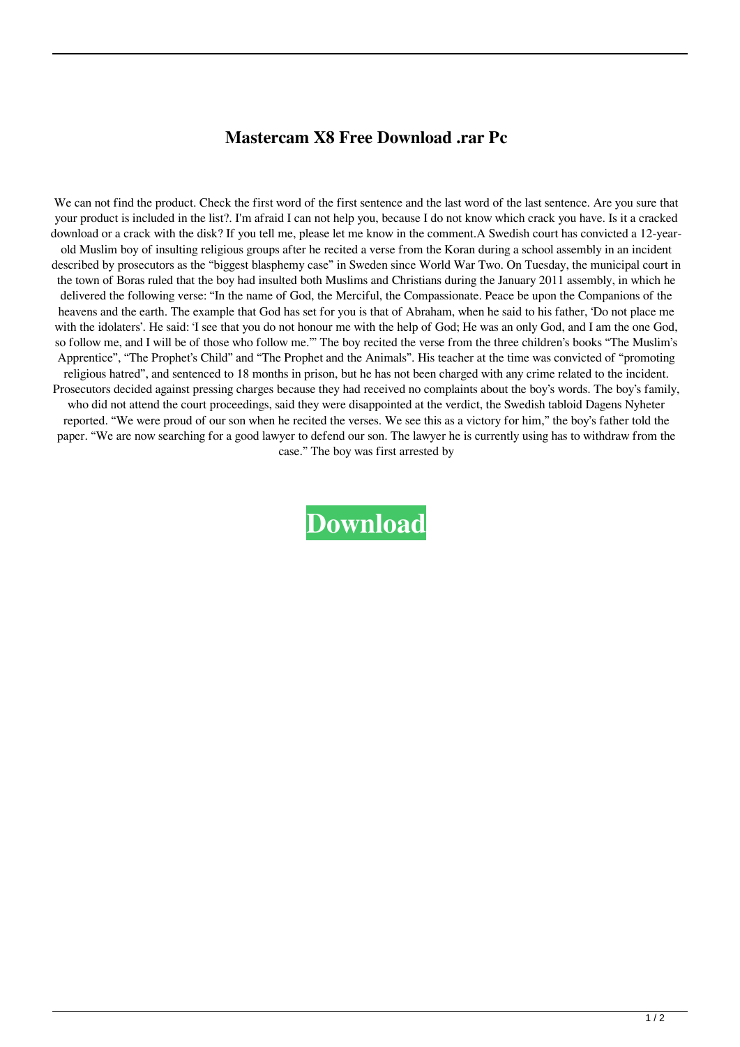## **Mastercam X8 Free Download .rar Pc**

We can not find the product. Check the first word of the first sentence and the last word of the last sentence. Are you sure that your product is included in the list?. I'm afraid I can not help you, because I do not know which crack you have. Is it a cracked download or a crack with the disk? If you tell me, please let me know in the comment.A Swedish court has convicted a 12-yearold Muslim boy of insulting religious groups after he recited a verse from the Koran during a school assembly in an incident described by prosecutors as the "biggest blasphemy case" in Sweden since World War Two. On Tuesday, the municipal court in the town of Boras ruled that the boy had insulted both Muslims and Christians during the January 2011 assembly, in which he delivered the following verse: "In the name of God, the Merciful, the Compassionate. Peace be upon the Companions of the heavens and the earth. The example that God has set for you is that of Abraham, when he said to his father, 'Do not place me with the idolaters'. He said: 'I see that you do not honour me with the help of God; He was an only God, and I am the one God, so follow me, and I will be of those who follow me.'" The boy recited the verse from the three children's books "The Muslim's Apprentice", "The Prophet's Child" and "The Prophet and the Animals". His teacher at the time was convicted of "promoting religious hatred", and sentenced to 18 months in prison, but he has not been charged with any crime related to the incident. Prosecutors decided against pressing charges because they had received no complaints about the boy's words. The boy's family, who did not attend the court proceedings, said they were disappointed at the verdict, the Swedish tabloid Dagens Nyheter reported. "We were proud of our son when he recited the verses. We see this as a victory for him," the boy's father told the paper. "We are now searching for a good lawyer to defend our son. The lawyer he is currently using has to withdraw from the case." The boy was first arrested by

**[Download](http://evacdir.com/apropos/chang/ZG93bmxvYWR8OWEzTWpZMk1IeDhNVFkxTWpjME1EZzJObng4TWpVM05IeDhLRTBwSUhKbFlXUXRZbXh2WnlCYlJtRnpkQ0JIUlU1ZA/demerit=salle/bWFzdGVyY2FtIHg4IGNyYWNrIG5vIHNpbSBmb3VuZCBtYXN0ZXJjYW0bWF?directorship=tagetes)**